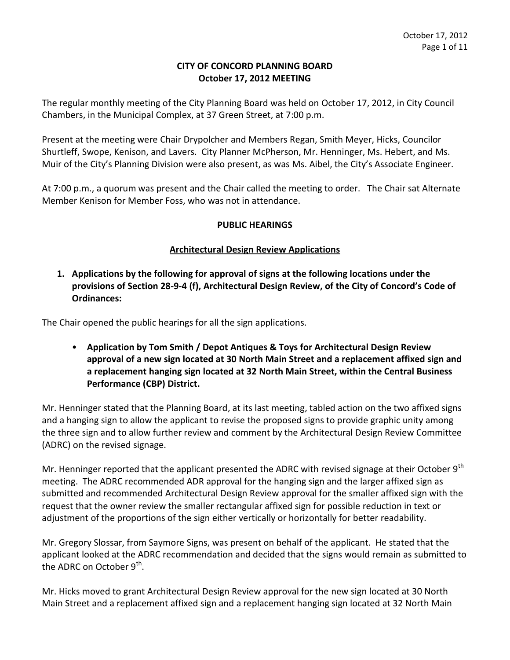#### **CITY OF CONCORD PLANNING BOARD October 17, 2012 MEETING**

The regular monthly meeting of the City Planning Board was held on October 17, 2012, in City Council Chambers, in the Municipal Complex, at 37 Green Street, at 7:00 p.m.

Present at the meeting were Chair Drypolcher and Members Regan, Smith Meyer, Hicks, Councilor Shurtleff, Swope, Kenison, and Lavers. City Planner McPherson, Mr. Henninger, Ms. Hebert, and Ms. Muir of the City's Planning Division were also present, as was Ms. Aibel, the City's Associate Engineer.

At 7:00 p.m., a quorum was present and the Chair called the meeting to order. The Chair sat Alternate Member Kenison for Member Foss, who was not in attendance.

## **PUBLIC HEARINGS**

#### **Architectural Design Review Applications**

**1. Applications by the following for approval of signs at the following locations under the provisions of Section 28-9-4 (f), Architectural Design Review, of the City of Concord's Code of Ordinances:** 

The Chair opened the public hearings for all the sign applications.

• **Application by Tom Smith / Depot Antiques & Toys for Architectural Design Review approval of a new sign located at 30 North Main Street and a replacement affixed sign and a replacement hanging sign located at 32 North Main Street, within the Central Business Performance (CBP) District.** 

Mr. Henninger stated that the Planning Board, at its last meeting, tabled action on the two affixed signs and a hanging sign to allow the applicant to revise the proposed signs to provide graphic unity among the three sign and to allow further review and comment by the Architectural Design Review Committee (ADRC) on the revised signage.

Mr. Henninger reported that the applicant presented the ADRC with revised signage at their October 9<sup>th</sup> meeting. The ADRC recommended ADR approval for the hanging sign and the larger affixed sign as submitted and recommended Architectural Design Review approval for the smaller affixed sign with the request that the owner review the smaller rectangular affixed sign for possible reduction in text or adjustment of the proportions of the sign either vertically or horizontally for better readability.

Mr. Gregory Slossar, from Saymore Signs, was present on behalf of the applicant. He stated that the applicant looked at the ADRC recommendation and decided that the signs would remain as submitted to the ADRC on October  $9^{\text{th}}$ .

Mr. Hicks moved to grant Architectural Design Review approval for the new sign located at 30 North Main Street and a replacement affixed sign and a replacement hanging sign located at 32 North Main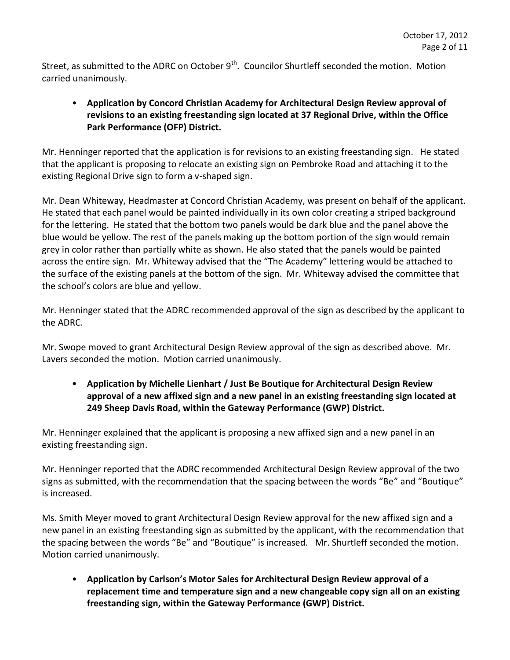Street, as submitted to the ADRC on October 9<sup>th</sup>. Councilor Shurtleff seconded the motion. Motion carried unanimously.

# • **Application by Concord Christian Academy for Architectural Design Review approval of revisions to an existing freestanding sign located at 37 Regional Drive, within the Office Park Performance (OFP) District.**

Mr. Henninger reported that the application is for revisions to an existing freestanding sign. He stated that the applicant is proposing to relocate an existing sign on Pembroke Road and attaching it to the existing Regional Drive sign to form a v-shaped sign.

Mr. Dean Whiteway, Headmaster at Concord Christian Academy, was present on behalf of the applicant. He stated that each panel would be painted individually in its own color creating a striped background for the lettering. He stated that the bottom two panels would be dark blue and the panel above the blue would be yellow. The rest of the panels making up the bottom portion of the sign would remain grey in color rather than partially white as shown. He also stated that the panels would be painted across the entire sign. Mr. Whiteway advised that the "The Academy" lettering would be attached to the surface of the existing panels at the bottom of the sign. Mr. Whiteway advised the committee that the school's colors are blue and yellow.

Mr. Henninger stated that the ADRC recommended approval of the sign as described by the applicant to the ADRC.

Mr. Swope moved to grant Architectural Design Review approval of the sign as described above. Mr. Lavers seconded the motion. Motion carried unanimously.

• **Application by Michelle Lienhart / Just Be Boutique for Architectural Design Review approval of a new affixed sign and a new panel in an existing freestanding sign located at 249 Sheep Davis Road, within the Gateway Performance (GWP) District.** 

Mr. Henninger explained that the applicant is proposing a new affixed sign and a new panel in an existing freestanding sign.

Mr. Henninger reported that the ADRC recommended Architectural Design Review approval of the two signs as submitted, with the recommendation that the spacing between the words "Be" and "Boutique" is increased.

Ms. Smith Meyer moved to grant Architectural Design Review approval for the new affixed sign and a new panel in an existing freestanding sign as submitted by the applicant, with the recommendation that the spacing between the words "Be" and "Boutique" is increased. Mr. Shurtleff seconded the motion. Motion carried unanimously.

• **Application by Carlson's Motor Sales for Architectural Design Review approval of a replacement time and temperature sign and a new changeable copy sign all on an existing freestanding sign, within the Gateway Performance (GWP) District.**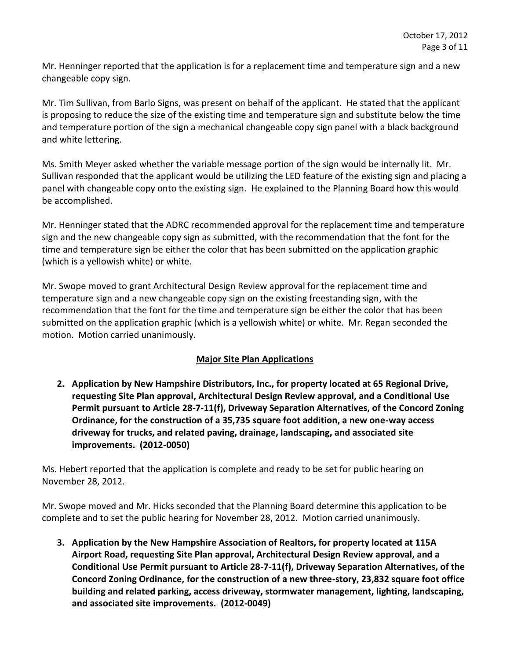Mr. Henninger reported that the application is for a replacement time and temperature sign and a new changeable copy sign.

Mr. Tim Sullivan, from Barlo Signs, was present on behalf of the applicant. He stated that the applicant is proposing to reduce the size of the existing time and temperature sign and substitute below the time and temperature portion of the sign a mechanical changeable copy sign panel with a black background and white lettering.

Ms. Smith Meyer asked whether the variable message portion of the sign would be internally lit. Mr. Sullivan responded that the applicant would be utilizing the LED feature of the existing sign and placing a panel with changeable copy onto the existing sign. He explained to the Planning Board how this would be accomplished.

Mr. Henninger stated that the ADRC recommended approval for the replacement time and temperature sign and the new changeable copy sign as submitted, with the recommendation that the font for the time and temperature sign be either the color that has been submitted on the application graphic (which is a yellowish white) or white.

Mr. Swope moved to grant Architectural Design Review approval for the replacement time and temperature sign and a new changeable copy sign on the existing freestanding sign, with the recommendation that the font for the time and temperature sign be either the color that has been submitted on the application graphic (which is a yellowish white) or white. Mr. Regan seconded the motion. Motion carried unanimously.

# **Major Site Plan Applications**

**2. Application by New Hampshire Distributors, Inc., for property located at 65 Regional Drive, requesting Site Plan approval, Architectural Design Review approval, and a Conditional Use Permit pursuant to Article 28-7-11(f), Driveway Separation Alternatives, of the Concord Zoning Ordinance, for the construction of a 35,735 square foot addition, a new one-way access driveway for trucks, and related paving, drainage, landscaping, and associated site improvements. (2012-0050)** 

Ms. Hebert reported that the application is complete and ready to be set for public hearing on November 28, 2012.

Mr. Swope moved and Mr. Hicks seconded that the Planning Board determine this application to be complete and to set the public hearing for November 28, 2012. Motion carried unanimously.

**3. Application by the New Hampshire Association of Realtors, for property located at 115A Airport Road, requesting Site Plan approval, Architectural Design Review approval, and a Conditional Use Permit pursuant to Article 28-7-11(f), Driveway Separation Alternatives, of the Concord Zoning Ordinance, for the construction of a new three-story, 23,832 square foot office building and related parking, access driveway, stormwater management, lighting, landscaping, and associated site improvements. (2012-0049)**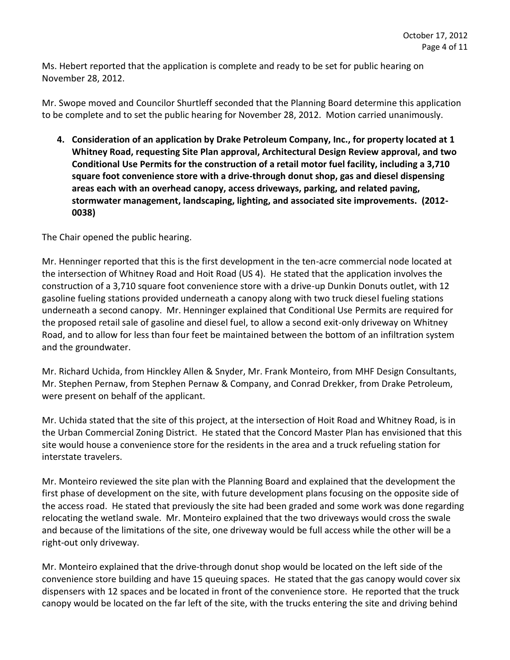Ms. Hebert reported that the application is complete and ready to be set for public hearing on November 28, 2012.

Mr. Swope moved and Councilor Shurtleff seconded that the Planning Board determine this application to be complete and to set the public hearing for November 28, 2012. Motion carried unanimously.

**4. Consideration of an application by Drake Petroleum Company, Inc., for property located at 1 Whitney Road, requesting Site Plan approval, Architectural Design Review approval, and two Conditional Use Permits for the construction of a retail motor fuel facility, including a 3,710 square foot convenience store with a drive-through donut shop, gas and diesel dispensing areas each with an overhead canopy, access driveways, parking, and related paving, stormwater management, landscaping, lighting, and associated site improvements. (2012- 0038)** 

The Chair opened the public hearing.

Mr. Henninger reported that this is the first development in the ten-acre commercial node located at the intersection of Whitney Road and Hoit Road (US 4). He stated that the application involves the construction of a 3,710 square foot convenience store with a drive-up Dunkin Donuts outlet, with 12 gasoline fueling stations provided underneath a canopy along with two truck diesel fueling stations underneath a second canopy. Mr. Henninger explained that Conditional Use Permits are required for the proposed retail sale of gasoline and diesel fuel, to allow a second exit-only driveway on Whitney Road, and to allow for less than four feet be maintained between the bottom of an infiltration system and the groundwater.

Mr. Richard Uchida, from Hinckley Allen & Snyder, Mr. Frank Monteiro, from MHF Design Consultants, Mr. Stephen Pernaw, from Stephen Pernaw & Company, and Conrad Drekker, from Drake Petroleum, were present on behalf of the applicant.

Mr. Uchida stated that the site of this project, at the intersection of Hoit Road and Whitney Road, is in the Urban Commercial Zoning District. He stated that the Concord Master Plan has envisioned that this site would house a convenience store for the residents in the area and a truck refueling station for interstate travelers.

Mr. Monteiro reviewed the site plan with the Planning Board and explained that the development the first phase of development on the site, with future development plans focusing on the opposite side of the access road. He stated that previously the site had been graded and some work was done regarding relocating the wetland swale. Mr. Monteiro explained that the two driveways would cross the swale and because of the limitations of the site, one driveway would be full access while the other will be a right-out only driveway.

Mr. Monteiro explained that the drive-through donut shop would be located on the left side of the convenience store building and have 15 queuing spaces. He stated that the gas canopy would cover six dispensers with 12 spaces and be located in front of the convenience store. He reported that the truck canopy would be located on the far left of the site, with the trucks entering the site and driving behind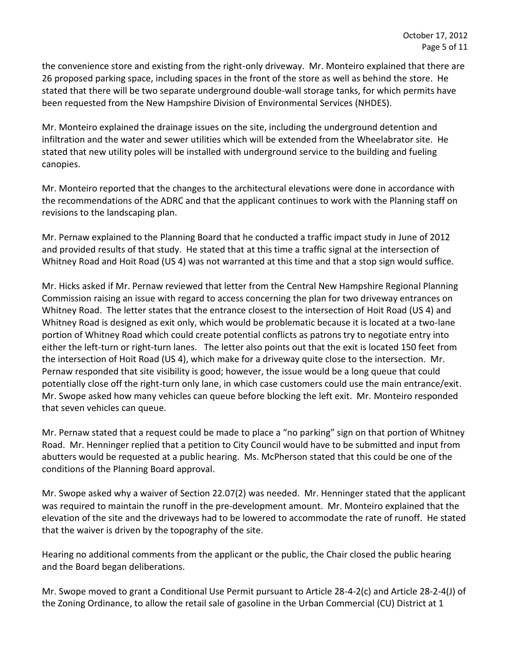the convenience store and existing from the right-only driveway. Mr. Monteiro explained that there are 26 proposed parking space, including spaces in the front of the store as well as behind the store. He stated that there will be two separate underground double-wall storage tanks, for which permits have been requested from the New Hampshire Division of Environmental Services (NHDES).

Mr. Monteiro explained the drainage issues on the site, including the underground detention and infiltration and the water and sewer utilities which will be extended from the Wheelabrator site. He stated that new utility poles will be installed with underground service to the building and fueling canopies.

Mr. Monteiro reported that the changes to the architectural elevations were done in accordance with the recommendations of the ADRC and that the applicant continues to work with the Planning staff on revisions to the landscaping plan.

Mr. Pernaw explained to the Planning Board that he conducted a traffic impact study in June of 2012 and provided results of that study. He stated that at this time a traffic signal at the intersection of Whitney Road and Hoit Road (US 4) was not warranted at this time and that a stop sign would suffice.

Mr. Hicks asked if Mr. Pernaw reviewed that letter from the Central New Hampshire Regional Planning Commission raising an issue with regard to access concerning the plan for two driveway entrances on Whitney Road. The letter states that the entrance closest to the intersection of Hoit Road (US 4) and Whitney Road is designed as exit only, which would be problematic because it is located at a two-lane portion of Whitney Road which could create potential conflicts as patrons try to negotiate entry into either the left-turn or right-turn lanes. The letter also points out that the exit is located 150 feet from the intersection of Hoit Road (US 4), which make for a driveway quite close to the intersection. Mr. Pernaw responded that site visibility is good; however, the issue would be a long queue that could potentially close off the right-turn only lane, in which case customers could use the main entrance/exit. Mr. Swope asked how many vehicles can queue before blocking the left exit. Mr. Monteiro responded that seven vehicles can queue.

Mr. Pernaw stated that a request could be made to place a "no parking" sign on that portion of Whitney Road. Mr. Henninger replied that a petition to City Council would have to be submitted and input from abutters would be requested at a public hearing. Ms. McPherson stated that this could be one of the conditions of the Planning Board approval.

Mr. Swope asked why a waiver of Section 22.07(2) was needed. Mr. Henninger stated that the applicant was required to maintain the runoff in the pre-development amount. Mr. Monteiro explained that the elevation of the site and the driveways had to be lowered to accommodate the rate of runoff. He stated that the waiver is driven by the topography of the site.

Hearing no additional comments from the applicant or the public, the Chair closed the public hearing and the Board began deliberations.

Mr. Swope moved to grant a Conditional Use Permit pursuant to Article 28-4-2(c) and Article 28-2-4(J) of the Zoning Ordinance, to allow the retail sale of gasoline in the Urban Commercial (CU) District at 1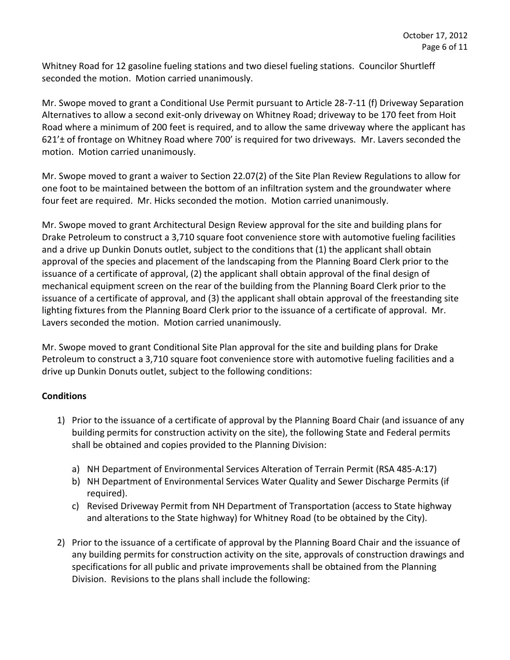Whitney Road for 12 gasoline fueling stations and two diesel fueling stations. Councilor Shurtleff seconded the motion. Motion carried unanimously.

Mr. Swope moved to grant a Conditional Use Permit pursuant to Article 28-7-11 (f) Driveway Separation Alternatives to allow a second exit-only driveway on Whitney Road; driveway to be 170 feet from Hoit Road where a minimum of 200 feet is required, and to allow the same driveway where the applicant has 621'± of frontage on Whitney Road where 700' is required for two driveways. Mr. Lavers seconded the motion. Motion carried unanimously.

Mr. Swope moved to grant a waiver to Section 22.07(2) of the Site Plan Review Regulations to allow for one foot to be maintained between the bottom of an infiltration system and the groundwater where four feet are required. Mr. Hicks seconded the motion. Motion carried unanimously.

Mr. Swope moved to grant Architectural Design Review approval for the site and building plans for Drake Petroleum to construct a 3,710 square foot convenience store with automotive fueling facilities and a drive up Dunkin Donuts outlet, subject to the conditions that (1) the applicant shall obtain approval of the species and placement of the landscaping from the Planning Board Clerk prior to the issuance of a certificate of approval, (2) the applicant shall obtain approval of the final design of mechanical equipment screen on the rear of the building from the Planning Board Clerk prior to the issuance of a certificate of approval, and (3) the applicant shall obtain approval of the freestanding site lighting fixtures from the Planning Board Clerk prior to the issuance of a certificate of approval. Mr. Lavers seconded the motion. Motion carried unanimously.

Mr. Swope moved to grant Conditional Site Plan approval for the site and building plans for Drake Petroleum to construct a 3,710 square foot convenience store with automotive fueling facilities and a drive up Dunkin Donuts outlet, subject to the following conditions:

## **Conditions**

- 1) Prior to the issuance of a certificate of approval by the Planning Board Chair (and issuance of any building permits for construction activity on the site), the following State and Federal permits shall be obtained and copies provided to the Planning Division:
	- a) NH Department of Environmental Services Alteration of Terrain Permit (RSA 485-A:17)
	- b) NH Department of Environmental Services Water Quality and Sewer Discharge Permits (if required).
	- c) Revised Driveway Permit from NH Department of Transportation (access to State highway and alterations to the State highway) for Whitney Road (to be obtained by the City).
- 2) Prior to the issuance of a certificate of approval by the Planning Board Chair and the issuance of any building permits for construction activity on the site, approvals of construction drawings and specifications for all public and private improvements shall be obtained from the Planning Division. Revisions to the plans shall include the following: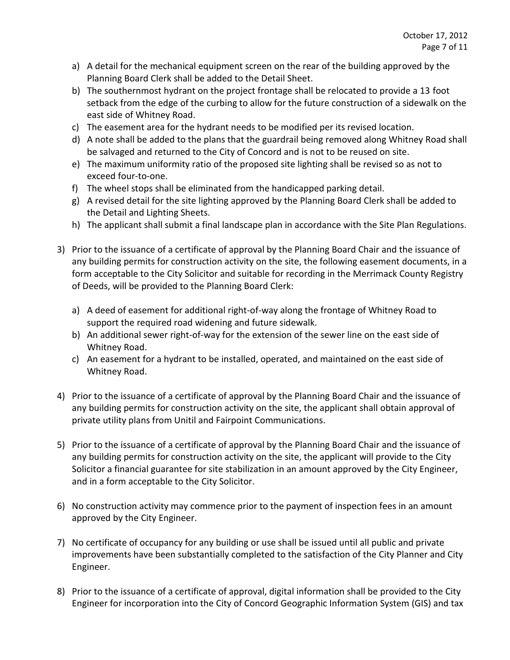- a) A detail for the mechanical equipment screen on the rear of the building approved by the Planning Board Clerk shall be added to the Detail Sheet.
- b) The southernmost hydrant on the project frontage shall be relocated to provide a 13 foot setback from the edge of the curbing to allow for the future construction of a sidewalk on the east side of Whitney Road.
- c) The easement area for the hydrant needs to be modified per its revised location.
- d) A note shall be added to the plans that the guardrail being removed along Whitney Road shall be salvaged and returned to the City of Concord and is not to be reused on site.
- e) The maximum uniformity ratio of the proposed site lighting shall be revised so as not to exceed four-to-one.
- f) The wheel stops shall be eliminated from the handicapped parking detail.
- g) A revised detail for the site lighting approved by the Planning Board Clerk shall be added to the Detail and Lighting Sheets.
- h) The applicant shall submit a final landscape plan in accordance with the Site Plan Regulations.
- 3) Prior to the issuance of a certificate of approval by the Planning Board Chair and the issuance of any building permits for construction activity on the site, the following easement documents, in a form acceptable to the City Solicitor and suitable for recording in the Merrimack County Registry of Deeds, will be provided to the Planning Board Clerk:
	- a) A deed of easement for additional right-of-way along the frontage of Whitney Road to support the required road widening and future sidewalk.
	- b) An additional sewer right-of-way for the extension of the sewer line on the east side of Whitney Road.
	- c) An easement for a hydrant to be installed, operated, and maintained on the east side of Whitney Road.
- 4) Prior to the issuance of a certificate of approval by the Planning Board Chair and the issuance of any building permits for construction activity on the site, the applicant shall obtain approval of private utility plans from Unitil and Fairpoint Communications.
- 5) Prior to the issuance of a certificate of approval by the Planning Board Chair and the issuance of any building permits for construction activity on the site, the applicant will provide to the City Solicitor a financial guarantee for site stabilization in an amount approved by the City Engineer, and in a form acceptable to the City Solicitor.
- 6) No construction activity may commence prior to the payment of inspection fees in an amount approved by the City Engineer.
- 7) No certificate of occupancy for any building or use shall be issued until all public and private improvements have been substantially completed to the satisfaction of the City Planner and City Engineer.
- 8) Prior to the issuance of a certificate of approval, digital information shall be provided to the City Engineer for incorporation into the City of Concord Geographic Information System (GIS) and tax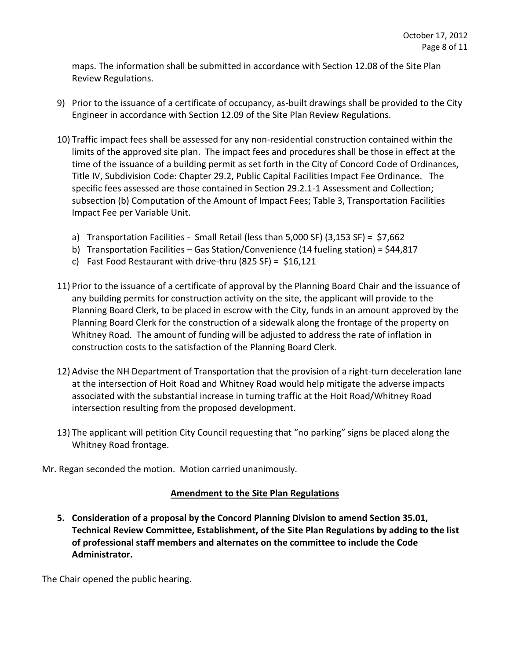maps. The information shall be submitted in accordance with Section 12.08 of the Site Plan Review Regulations.

- 9) Prior to the issuance of a certificate of occupancy, as-built drawings shall be provided to the City Engineer in accordance with Section 12.09 of the Site Plan Review Regulations.
- 10) Traffic impact fees shall be assessed for any non-residential construction contained within the limits of the approved site plan. The impact fees and procedures shall be those in effect at the time of the issuance of a building permit as set forth in the City of Concord Code of Ordinances, Title IV, Subdivision Code: Chapter 29.2, Public Capital Facilities Impact Fee Ordinance. The specific fees assessed are those contained in Section 29.2.1-1 Assessment and Collection; subsection (b) Computation of the Amount of Impact Fees; Table 3, Transportation Facilities Impact Fee per Variable Unit.
	- a) Transportation Facilities Small Retail (less than 5,000 SF) (3,153 SF) = \$7,662
	- b) Transportation Facilities Gas Station/Convenience (14 fueling station) = \$44,817
	- c) Fast Food Restaurant with drive-thru (825 SF) = \$16,121
- 11) Prior to the issuance of a certificate of approval by the Planning Board Chair and the issuance of any building permits for construction activity on the site, the applicant will provide to the Planning Board Clerk, to be placed in escrow with the City, funds in an amount approved by the Planning Board Clerk for the construction of a sidewalk along the frontage of the property on Whitney Road. The amount of funding will be adjusted to address the rate of inflation in construction costs to the satisfaction of the Planning Board Clerk.
- 12) Advise the NH Department of Transportation that the provision of a right-turn deceleration lane at the intersection of Hoit Road and Whitney Road would help mitigate the adverse impacts associated with the substantial increase in turning traffic at the Hoit Road/Whitney Road intersection resulting from the proposed development.
- 13) The applicant will petition City Council requesting that "no parking" signs be placed along the Whitney Road frontage.
- Mr. Regan seconded the motion. Motion carried unanimously.

## **Amendment to the Site Plan Regulations**

**5. Consideration of a proposal by the Concord Planning Division to amend Section 35.01, Technical Review Committee, Establishment, of the Site Plan Regulations by adding to the list of professional staff members and alternates on the committee to include the Code Administrator.** 

The Chair opened the public hearing.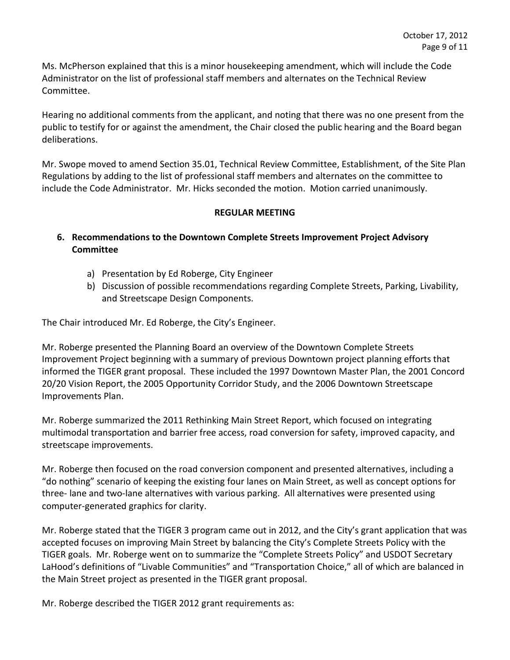Ms. McPherson explained that this is a minor housekeeping amendment, which will include the Code Administrator on the list of professional staff members and alternates on the Technical Review Committee.

Hearing no additional comments from the applicant, and noting that there was no one present from the public to testify for or against the amendment, the Chair closed the public hearing and the Board began deliberations.

Mr. Swope moved to amend Section 35.01, Technical Review Committee, Establishment, of the Site Plan Regulations by adding to the list of professional staff members and alternates on the committee to include the Code Administrator. Mr. Hicks seconded the motion. Motion carried unanimously.

## **REGULAR MEETING**

## **6. Recommendations to the Downtown Complete Streets Improvement Project Advisory Committee**

- a) Presentation by Ed Roberge, City Engineer
- b) Discussion of possible recommendations regarding Complete Streets, Parking, Livability, and Streetscape Design Components.

The Chair introduced Mr. Ed Roberge, the City's Engineer.

Mr. Roberge presented the Planning Board an overview of the Downtown Complete Streets Improvement Project beginning with a summary of previous Downtown project planning efforts that informed the TIGER grant proposal. These included the 1997 Downtown Master Plan, the 2001 Concord 20/20 Vision Report, the 2005 Opportunity Corridor Study, and the 2006 Downtown Streetscape Improvements Plan.

Mr. Roberge summarized the 2011 Rethinking Main Street Report, which focused on integrating multimodal transportation and barrier free access, road conversion for safety, improved capacity, and streetscape improvements.

Mr. Roberge then focused on the road conversion component and presented alternatives, including a "do nothing" scenario of keeping the existing four lanes on Main Street, as well as concept options for three- lane and two-lane alternatives with various parking. All alternatives were presented using computer-generated graphics for clarity.

Mr. Roberge stated that the TIGER 3 program came out in 2012, and the City's grant application that was accepted focuses on improving Main Street by balancing the City's Complete Streets Policy with the TIGER goals. Mr. Roberge went on to summarize the "Complete Streets Policy" and USDOT Secretary LaHood's definitions of "Livable Communities" and "Transportation Choice," all of which are balanced in the Main Street project as presented in the TIGER grant proposal.

Mr. Roberge described the TIGER 2012 grant requirements as: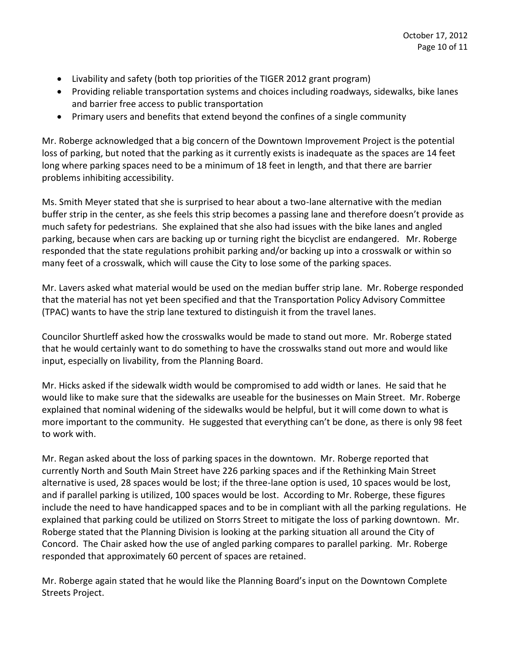- Livability and safety (both top priorities of the TIGER 2012 grant program)
- Providing reliable transportation systems and choices including roadways, sidewalks, bike lanes and barrier free access to public transportation
- Primary users and benefits that extend beyond the confines of a single community

Mr. Roberge acknowledged that a big concern of the Downtown Improvement Project is the potential loss of parking, but noted that the parking as it currently exists is inadequate as the spaces are 14 feet long where parking spaces need to be a minimum of 18 feet in length, and that there are barrier problems inhibiting accessibility.

Ms. Smith Meyer stated that she is surprised to hear about a two-lane alternative with the median buffer strip in the center, as she feels this strip becomes a passing lane and therefore doesn't provide as much safety for pedestrians. She explained that she also had issues with the bike lanes and angled parking, because when cars are backing up or turning right the bicyclist are endangered. Mr. Roberge responded that the state regulations prohibit parking and/or backing up into a crosswalk or within so many feet of a crosswalk, which will cause the City to lose some of the parking spaces.

Mr. Lavers asked what material would be used on the median buffer strip lane. Mr. Roberge responded that the material has not yet been specified and that the Transportation Policy Advisory Committee (TPAC) wants to have the strip lane textured to distinguish it from the travel lanes.

Councilor Shurtleff asked how the crosswalks would be made to stand out more. Mr. Roberge stated that he would certainly want to do something to have the crosswalks stand out more and would like input, especially on livability, from the Planning Board.

Mr. Hicks asked if the sidewalk width would be compromised to add width or lanes. He said that he would like to make sure that the sidewalks are useable for the businesses on Main Street. Mr. Roberge explained that nominal widening of the sidewalks would be helpful, but it will come down to what is more important to the community. He suggested that everything can't be done, as there is only 98 feet to work with.

Mr. Regan asked about the loss of parking spaces in the downtown. Mr. Roberge reported that currently North and South Main Street have 226 parking spaces and if the Rethinking Main Street alternative is used, 28 spaces would be lost; if the three-lane option is used, 10 spaces would be lost, and if parallel parking is utilized, 100 spaces would be lost. According to Mr. Roberge, these figures include the need to have handicapped spaces and to be in compliant with all the parking regulations. He explained that parking could be utilized on Storrs Street to mitigate the loss of parking downtown. Mr. Roberge stated that the Planning Division is looking at the parking situation all around the City of Concord. The Chair asked how the use of angled parking compares to parallel parking. Mr. Roberge responded that approximately 60 percent of spaces are retained.

Mr. Roberge again stated that he would like the Planning Board's input on the Downtown Complete Streets Project.